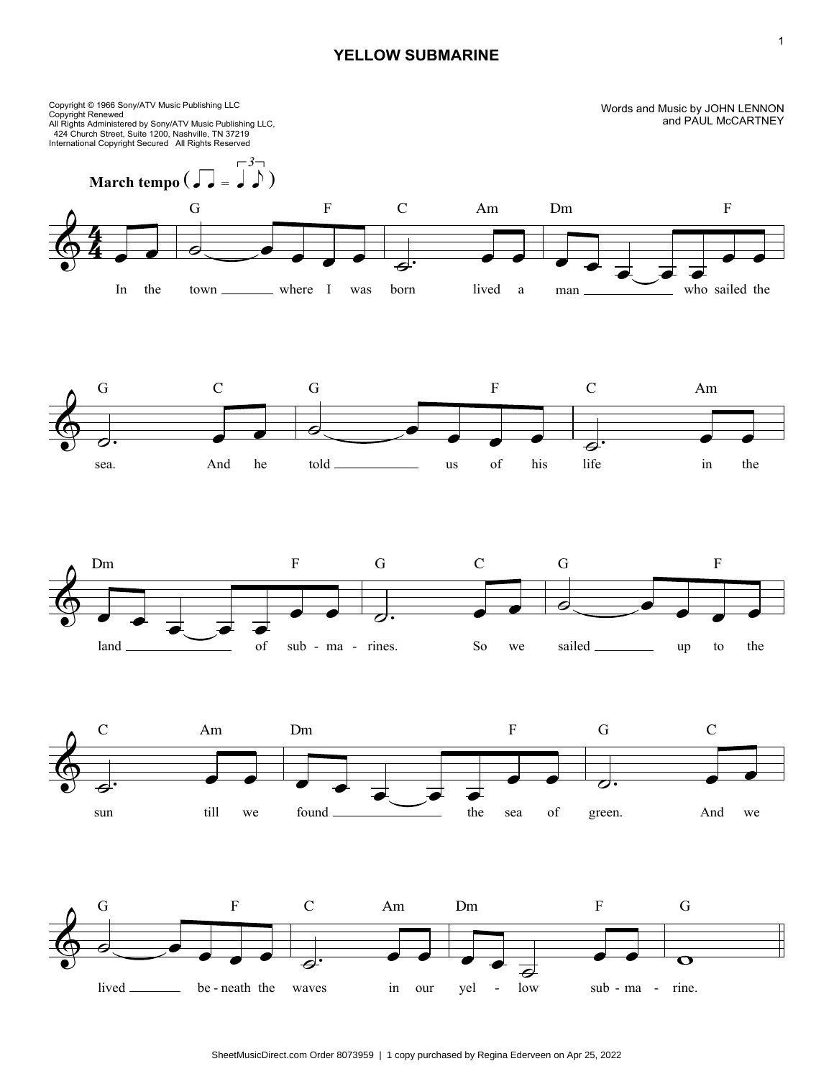## **YELLOW SUBMARINE**